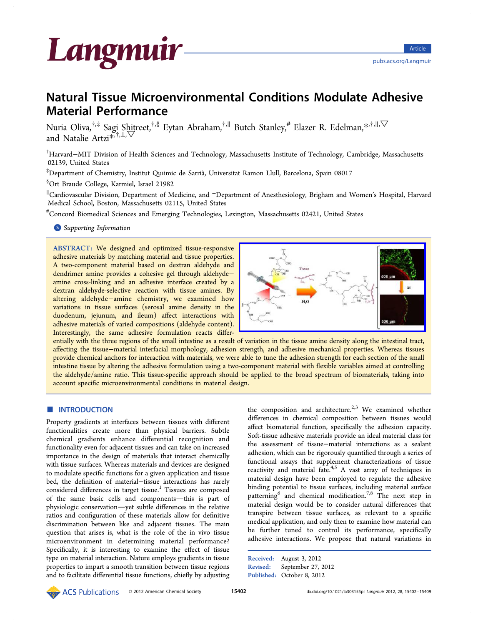# Langmuir

# Natural Tissue Microenvironmental Conditions Modulate Adhesive Material Performance

Nuria Oliva,<sup>†,‡</sup> Sagi S<u>hit</u>reet,<sup>†,§</sup> Eytan Abraham,<sup>†,∥</sup> Butch Stanley,<sup>#</sup> Elazer R. Edelman,\*<sup>,†,∥,</sup>[▽](#page-6-0) and Natalie Artzi\*,†,⊥,[▽](#page-6-0)

† Harvard−MIT Division of Health Sciences and Technology, Massachusetts Institute of Technology, Cambridge, Massachusetts 02139, United States

‡ Department of Chemistry, Institut Quıimic de Sarria, Universitat Ramon Llull, Barcelona, Spain 08017 ̀

§ Ort Braude College, Karmiel, Israel 21982

∥ Cardiovascular Division, Department of Medicine, and <sup>⊥</sup>Department of Anesthesiology, Brigham and Women's Hospital, Harvard Medical School, Boston, Massachusetts 02115, United States

# Concord Biomedical Sciences and Emerging Technologies, Lexington, Massachusetts 02421, United States

**S** [Supporting Information](#page-6-0)

ABSTRACT: We designed and optimized tissue-responsive adhesive materials by matching material and tissue properties. A two-component material based on dextran aldehyde and dendrimer amine provides a cohesive gel through aldehyde− amine cross-linking and an adhesive interface created by a dextran aldehyde-selective reaction with tissue amines. By altering aldehyde−amine chemistry, we examined how variations in tissue surfaces (serosal amine density in the duodenum, jejunum, and ileum) affect interactions with adhesive materials of varied compositions (aldehyde content). Interestingly, the same adhesive formulation reacts differ-



entially with the three regions of the small intestine as a result of variation in the tissue amine density along the intestinal tract, affecting the tissue−material interfacial morphology, adhesion strength, and adhesive mechanical properties. Whereas tissues provide chemical anchors for interaction with materials, we were able to tune the adhesion strength for each section of the small intestine tissue by altering the adhesive formulation using a two-component material with flexible variables aimed at controlling the aldehyde/amine ratio. This tissue-specific approach should be applied to the broad spectrum of biomaterials, taking into account specific microenvironmental conditions in material design.

# **ENTRODUCTION**

Property gradients at interfaces between tissues with different functionalities create more than physical barriers. Subtle chemical gradients enhance differential recognition and functionality even for adjacent tissues and can take on increased importance in the design of materials that interact chemically with tissue surfaces. Whereas materials and devices are designed to modulate specific functions for a given application and tissue bed, the definition of material−tissue interactions has rarely considered differences in target tissue.<sup>[1](#page-6-0)</sup> Tissues are composed of the same basic cells and components-this is part of physiologic conservation-yet subtle differences in the relative ratios and configuration of these materials allow for definitive discrimination between like and adjacent tissues. The main question that arises is, what is the role of the in vivo tissue microenvironment in determining material performance? Specifically, it is interesting to examine the effect of tissue type on material interaction. Nature employs gradients in tissue properties to impart a smooth transition between tissue regions and to facilitate differential tissue functions, chiefly by adjusting

the composition and architecture. $2,3$  We examined whether differences in chemical composition between tissues would affect biomaterial function, specifically the adhesion capacity. Soft-tissue adhesive materials provide an ideal material class for the assessment of tissue−material interactions as a sealant adhesion, which can be rigorously quantified through a series of functional assays that supplement characterizations of tissue reactivity and material fate.<sup>[4](#page-6-0),[5](#page-6-0)</sup> A vast array of techniques in material design have been employed to regulate the adhesive binding potential to tissue surfaces, including material surface patterning<sup>[6](#page-6-0)</sup> and chemical modification.<sup>[7](#page-7-0),[8](#page-7-0)</sup> The next step in material design would be to consider natural differences that transpire between tissue surfaces, as relevant to a specific medical application, and only then to examine how material can be further tuned to control its performance, specifically adhesive interactions. We propose that natural variations in

Received: August 3, 2012 Revised: September 27, 2012 Published: October 8, 2012

© 2012 American Chemical Society 15402 dx.doi.org/10.1021/la303155p | Langmuir 2012, 28, 15402−15409 dx.doi.org/10.1021/la303155p | Langmuir 2012, 28, 15402−15409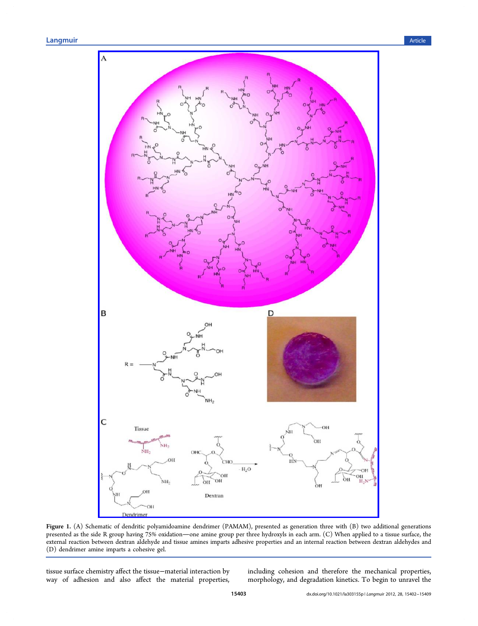<span id="page-1-0"></span>



Figure 1. (A) Schematic of dendritic polyamidoamine dendrimer (PAMAM), presented as generation three with (B) two additional generations presented as the side R group having 75% oxidation—one amine group per three hydroxyls in each arm. (C) When applied to a tissue surface, the external reaction between dextran aldehyde and tissue amines imparts adhesive properties and an internal reaction between dextran aldehydes and (D) dendrimer amine imparts a cohesive gel.

tissue surface chemistry affect the tissue−material interaction by way of adhesion and also affect the material properties,

including cohesion and therefore the mechanical properties, morphology, and degradation kinetics. To begin to unravel the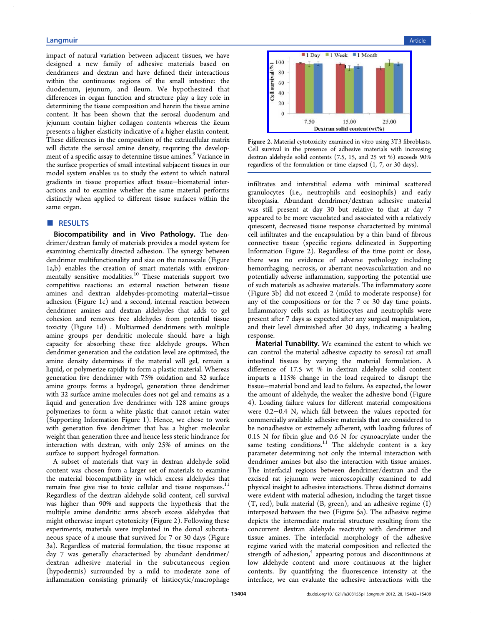impact of natural variation between adjacent tissues, we have designed a new family of adhesive materials based on dendrimers and dextran and have defined their interactions within the continuous regions of the small intestine: the duodenum, jejunum, and ileum. We hypothesized that differences in organ function and structure play a key role in determining the tissue composition and herein the tissue amine content. It has been shown that the serosal duodenum and jejunum contain higher collagen contents whereas the ileum presents a higher elasticity indicative of a higher elastin content. These differences in the composition of the extracellular matrix will dictate the serosal amine density, requiring the develop-ment of a specific assay to determine tissue amines.<sup>[9](#page-7-0)</sup> Variance in the surface properties of small intestinal subjacent tissues in our model system enables us to study the extent to which natural gradients in tissue properties affect tissue−biomaterial interactions and to examine whether the same material performs distinctly when applied to different tissue surfaces within the same organ.

#### ■ RESULTS

Biocompatibility and in Vivo Pathology. The dendrimer/dextran family of materials provides a model system for examining chemically directed adhesion. The synergy between dendrimer multifunctionality and size on the nanoscale (Figure [1](#page-1-0)a,b) enables the creation of smart materials with environ-mentally sensitive modalities.<sup>[10](#page-7-0)</sup> These materials support two competitive reactions: an external reaction between tissue amines and dextran aldehydes-promoting material−tissue adhesion (Figure [1c](#page-1-0)) and a second, internal reaction between dendrimer amines and dextran aldehydes that adds to gel cohesion and removes free aldehydes from potential tissue toxicity (Figure [1d](#page-1-0)) . Multiarmed dendrimers with multiple amine groups per dendritic molecule should have a high capacity for absorbing these free aldehyde groups. When dendrimer generation and the oxidation level are optimized, the amine density determines if the material will gel, remain a liquid, or polymerize rapidly to form a plastic material. Whereas generation five dendrimer with 75% oxidation and 32 surface amine groups forms a hydrogel, generation three dendrimer with 32 surface amine molecules does not gel and remains as a liquid and generation five dendrimer with 128 amine groups polymerizes to form a white plastic that cannot retain water [\(Supporting Information Figure 1](#page-6-0)). Hence, we chose to work with generation five dendrimer that has a higher molecular weight than generation three and hence less steric hindrance for interaction with dextran, with only 25% of amines on the surface to support hydrogel formation.

A subset of materials that vary in dextran aldehyde solid content was chosen from a larger set of materials to examine the material biocompatibility in which excess aldehydes that remain free give rise to toxic cellular and tissue responses.<sup>[11](#page-7-0)</sup> Regardless of the dextran aldehyde solid content, cell survival was higher than 90% and supports the hypothesis that the multiple amine dendritic arms absorb excess aldehydes that might otherwise impart cytotoxicity (Figure 2). Following these experiments, materials were implanted in the dorsal subcutaneous space of a mouse that survived for 7 or 30 days (Figure [3](#page-3-0)a). Regardless of material formulation, the tissue response at day 7 was generally characterized by abundant dendrimer/ dextran adhesive material in the subcutaneous region (hypodermis) surrounded by a mild to moderate zone of inflammation consisting primarily of histiocytic/macrophage



Figure 2. Material cytotoxicity examined in vitro using 3T3 fibroblasts. Cell survival in the presence of adhesive materials with increasing dextran aldehyde solid contents (7.5, 15, and 25 wt %) exceeds 90% regardless of the formulation or time elapsed (1, 7, or 30 days).

infiltrates and interstitial edema with minimal scattered granulocytes (i.e., neutrophils and eosinophils) and early fibroplasia. Abundant dendrimer/dextran adhesive material was still present at day 30 but relative to that at day 7 appeared to be more vacuolated and associated with a relatively quiescent, decreased tissue response characterized by minimal cell infiltrates and the encapsulation by a thin band of fibrous connective tissue (specific regions delineated in [Supporting](#page-6-0) [Information Figure 2\)](#page-6-0). Regardless of the time point or dose, there was no evidence of adverse pathology including hemorrhaging, necrosis, or aberrant neovascularization and no potentially adverse inflammation, supporting the potential use of such materials as adhesive materials. The inflammatory score (Figure [3](#page-3-0)b) did not exceed 2 (mild to moderate response) for any of the compositions or for the 7 or 30 day time points. Inflammatory cells such as histiocytes and neutrophils were present after 7 days as expected after any surgical manipulation, and their level diminished after 30 days, indicating a healing response.

Material Tunability. We examined the extent to which we can control the material adhesive capacity to serosal rat small intestinal tissues by varying the material formulation. A difference of 17.5 wt % in dextran aldehyde solid content imparts a 115% change in the load required to disrupt the tissue−material bond and lead to failure. As expected, the lower the amount of aldehyde, the weaker the adhesive bond (Figure [4](#page-3-0)). Loading failure values for different material compositions were 0.2−0.4 N, which fall between the values reported for commercially available adhesive materials that are considered to be nonadhesive or extremely adherent, with loading failures of 0.15 N for fibrin glue and 0.6 N for cyanoacrylate under the same testing conditions.<sup>[11](#page-7-0)</sup> The aldehyde content is a key parameter determining not only the internal interaction with dendrimer amines but also the interaction with tissue amines. The interfacial regions between dendrimer/dextran and the excised rat jejunum were microscopically examined to add physical insight to adhesive interactions. Three distinct domains were evident with material adhesion, including the target tissue (T, red), bulk material (B, green), and an adhesive regime (I) interposed between the two (Figure [5a](#page-4-0)). The adhesive regime depicts the intermediate material structure resulting from the concurrent dextran aldehyde reactivity with dendrimer and tissue amines. The interfacial morphology of the adhesive regime varied with the material composition and reflected the strength of adhesion,<sup>[4](#page-6-0)</sup> appearing porous and discontinuous at low aldehyde content and more continuous at the higher contents. By quantifying the fluorescence intensity at the interface, we can evaluate the adhesive interactions with the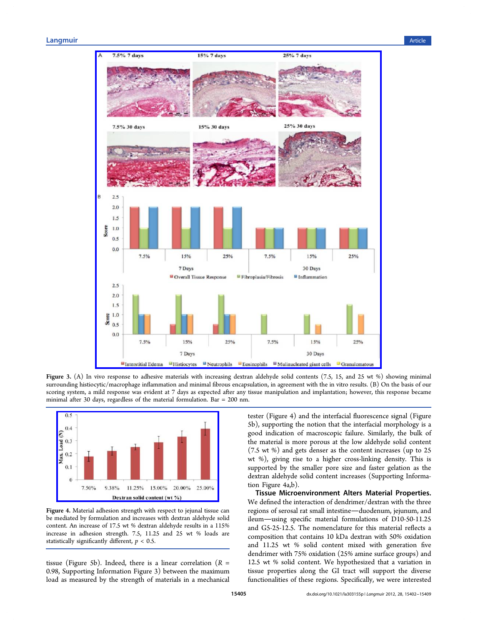<span id="page-3-0"></span>

Figure 3. (A) In vivo response to adhesive materials with increasing dextran aldehyde solid contents (7.5, 15, and 25 wt %) showing minimal surrounding histiocytic/macrophage inflammation and minimal fibrous encapsulation, in agreement with the in vitro results. (B) On the basis of our scoring system, a mild response was evident at 7 days as expected after any tissue manipulation and implantation; however, this response became minimal after 30 days, regardless of the material formulation. Bar = 200 nm.



Figure 4. Material adhesion strength with respect to jejunal tissue can be mediated by formulation and increases with dextran aldehyde solid content. An increase of 17.5 wt % dextran aldehyde results in a 115% increase in adhesion strength. 7.5, 11.25 and 25 wt % loads are statistically significantly different,  $p < 0.5$ .

tissue (Figure [5b](#page-4-0)). Indeed, there is a linear correlation ( $R =$ 0.98, [Supporting Information Figure 3\)](#page-6-0) between the maximum load as measured by the strength of materials in a mechanical

tester (Figure 4) and the interfacial fluorescence signal (Figure [5](#page-4-0)b), supporting the notion that the interfacial morphology is a good indication of macroscopic failure. Similarly, the bulk of the material is more porous at the low aldehyde solid content (7.5 wt %) and gets denser as the content increases (up to 25 wt %), giving rise to a higher cross-linking density. This is supported by the smaller pore size and faster gelation as the dextran aldehyde solid content increases [\(Supporting Informa](#page-6-0)[tion Figure 4a,b\)](#page-6-0).

Tissue Microenvironment Alters Material Properties. We defined the interaction of dendrimer/dextran with the three regions of serosal rat small intestine—duodenum, jejunum, and ileum—using specific material formulations of D10-50-11.25 and G5-25-12.5. The nomenclature for this material reflects a composition that contains 10 kDa dextran with 50% oxidation and 11.25 wt % solid content mixed with generation five dendrimer with 75% oxidation (25% amine surface groups) and 12.5 wt % solid content. We hypothesized that a variation in tissue properties along the GI tract will support the diverse functionalities of these regions. Specifically, we were interested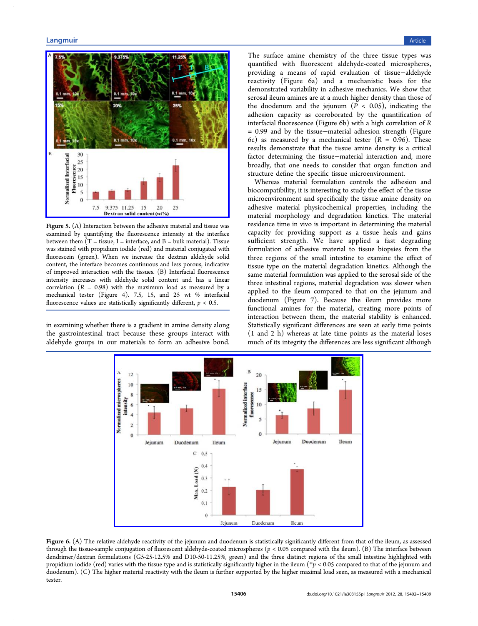<span id="page-4-0"></span>

Figure 5. (A) Interaction between the adhesive material and tissue was examined by quantifying the fluorescence intensity at the interface between them  $(T = tissue, I = interface, and B = bulk material)$ . Tissue was stained with propidium iodide (red) and material conjugated with fluorescein (green). When we increase the dextran aldehyde solid content, the interface becomes continuous and less porous, indicative of improved interaction with the tissues. (B) Interfacial fluorescence intensity increases with aldehyde solid content and has a linear correlation  $(R = 0.98)$  with the maximum load as measured by a mechanical tester (Figure [4\)](#page-3-0). 7.5, 15, and 25 wt % interfacial fluorescence values are statistically significantly different,  $p < 0.5$ .

in examining whether there is a gradient in amine density along the gastrointestinal tract because these groups interact with aldehyde groups in our materials to form an adhesive bond.

The surface amine chemistry of the three tissue types was quantified with fluorescent aldehyde-coated microspheres, providing a means of rapid evaluation of tissue−aldehyde reactivity (Figure 6a) and a mechanistic basis for the demonstrated variability in adhesive mechanics. We show that serosal ileum amines are at a much higher density than those of the duodenum and the jejunum ( $P < 0.05$ ), indicating the adhesion capacity as corroborated by the quantification of interfacial fluorescence (Figure 6b) with a high correlation of R = 0.99 and by the tissue−material adhesion strength (Figure 6c) as measured by a mechanical tester  $(R = 0.96)$ . These results demonstrate that the tissue amine density is a critical factor determining the tissue−material interaction and, more broadly, that one needs to consider that organ function and structure define the specific tissue microenvironment.

Whereas material formulation controls the adhesion and biocompatibility, it is interesting to study the effect of the tissue microenvironment and specifically the tissue amine density on adhesive material physicochemical properties, including the material morphology and degradation kinetics. The material residence time in vivo is important in determining the material capacity for providing support as a tissue heals and gains sufficient strength. We have applied a fast degrading formulation of adhesive material to tissue biopsies from the three regions of the small intestine to examine the effect of tissue type on the material degradation kinetics. Although the same material formulation was applied to the serosal side of the three intestinal regions, material degradation was slower when applied to the ileum compared to that on the jejunum and duodenum (Figure [7](#page-5-0)). Because the ileum provides more functional amines for the material, creating more points of interaction between them, the material stability is enhanced. Statistically significant differences are seen at early time points (1 and 2 h) whereas at late time points as the material loses much of its integrity the differences are less significant although



Figure 6. (A) The relative aldehyde reactivity of the jejunum and duodenum is statistically significantly different from that of the ileum, as assessed through the tissue-sample conjugation of fluorescent aldehyde-coated microspheres ( $p < 0.05$  compared with the ileum). (B) The interface between dendrimer/dextran formulations (G5-25-12.5% and D10-50-11.25%, green) and the three distinct regions of the small intestine highlighted with propidium iodide (red) varies with the tissue type and is statistically significantly higher in the ileum ( $*p$  < 0.05 compared to that of the jejunum and duodenum). (C) The higher material reactivity with the ileum is further supported by the higher maximal load seen, as measured with a mechanical tester.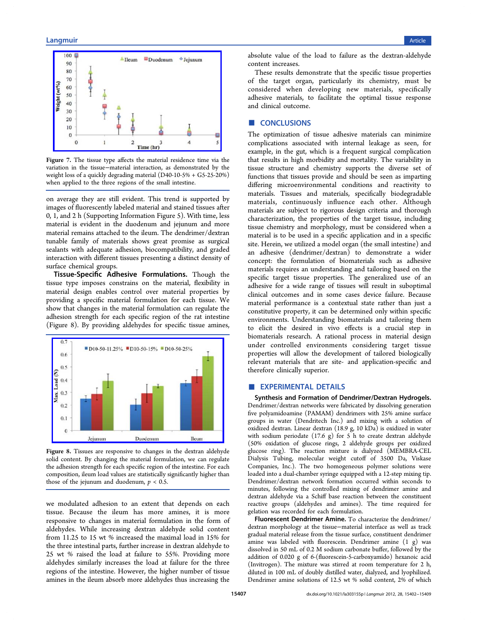<span id="page-5-0"></span>

Figure 7. The tissue type affects the material residence time via the variation in the tissue−material interaction, as demonstrated by the weight loss of a quickly degrading material (D40-10-5% + G5-25-20%) when applied to the three regions of the small intestine.

on average they are still evident. This trend is supported by images of fluorescently labeled material and stained tissues after 0, 1, and 2 h ([Supporting Information Figure 5](#page-6-0)). With time, less material is evident in the duodenum and jejunum and more material remains attached to the ileum. The dendrimer/dextran tunable family of materials shows great promise as surgical sealants with adequate adhesion, biocompatibility, and graded interaction with different tissues presenting a distinct density of surface chemical groups.

Tissue-Specific Adhesive Formulations. Though the tissue type imposes constrains on the material, flexibility in material design enables control over material properties by providing a specific material formulation for each tissue. We show that changes in the material formulation can regulate the adhesion strength for each specific region of the rat intestine (Figure 8). By providing aldehydes for specific tissue amines,



Figure 8. Tissues are responsive to changes in the dextran aldehyde solid content. By changing the material formulation, we can regulate the adhesion strength for each specific region of the intestine. For each composition, ileum load values are statistically significantly higher than those of the jejunum and duodenum,  $p < 0.5$ .

we modulated adhesion to an extent that depends on each tissue. Because the ileum has more amines, it is more responsive to changes in material formulation in the form of aldehydes. While increasing dextran aldehyde solid content from 11.25 to 15 wt % increased the maximal load in 15% for the three intestinal parts, further increase in dextran aldehyde to 25 wt % raised the load at failure to 55%. Providing more aldehydes similarly increases the load at failure for the three regions of the intestine. However, the higher number of tissue amines in the ileum absorb more aldehydes thus increasing the

absolute value of the load to failure as the dextran-aldehyde content increases.

These results demonstrate that the specific tissue properties of the target organ, particularly its chemistry, must be considered when developing new materials, specifically adhesive materials, to facilitate the optimal tissue response and clinical outcome.

# ■ CONCLUSIONS

The optimization of tissue adhesive materials can minimize complications associated with internal leakage as seen, for example, in the gut, which is a frequent surgical complication that results in high morbidity and mortality. The variability in tissue structure and chemistry supports the diverse set of functions that tissues provide and should be seen as imparting differing microenvironmental conditions and reactivity to materials. Tissues and materials, specifically biodegradable materials, continuously influence each other. Although materials are subject to rigorous design criteria and thorough characterization, the properties of the target tissue, including tissue chemistry and morphology, must be considered when a material is to be used in a specific application and in a specific site. Herein, we utilized a model organ (the small intestine) and an adhesive (dendrimer/dextran) to demonstrate a wider concept: the formulation of biomaterials such as adhesive materials requires an understanding and tailoring based on the specific target tissue properties. The generalized use of an adhesive for a wide range of tissues will result in suboptimal clinical outcomes and in some cases device failure. Because material performance is a contextual state rather than just a constitutive property, it can be determined only within specific environments. Understanding biomaterials and tailoring them to elicit the desired in vivo effects is a crucial step in biomaterials research. A rational process in material design under controlled environments considering target tissue properties will allow the development of tailored biologically relevant materials that are site- and application-specific and therefore clinically superior.

#### **EXPERIMENTAL DETAILS**

Synthesis and Formation of Dendrimer/Dextran Hydrogels. Dendrimer/dextran networks were fabricated by dissolving generation five polyamidoamine (PAMAM) dendrimers with 25% amine surface groups in water (Dendritech Inc.) and mixing with a solution of oxidized dextran. Linear dextran (18.9 g, 10 kDa) is oxidized in water with sodium periodate  $(17.6 \text{ g})$  for 5 h to create dextran aldehyde (50% oxidation of glucose rings, 2 aldehyde groups per oxidized glucose ring). The reaction mixture is dialyzed (MEMBRA-CEL Dialysis Tubing, molecular weight cutoff of 3500 Da, Viskase Companies, Inc.). The two homogeneous polymer solutions were loaded into a dual-chamber syringe equipped with a 12-step mixing tip. Dendrimer/dextran network formation occurred within seconds to minutes, following the controlled mixing of dendrimer amine and dextran aldehyde via a Schiff base reaction between the constituent reactive groups (aldehydes and amines). The time required for gelation was recorded for each formulation.

Fluorescent Dendrimer Amine. To characterize the dendrimer/ dextran morphology at the tissue−material interface as well as track gradual material release from the tissue surface, constituent dendrimer amine was labeled with fluorescein. Dendrimer amine (1 g) was dissolved in 50 mL of 0.2 M sodium carbonate buffer, followed by the addition of 0.020 g of 6-(fluorescein-5-carboxyamido) hexanoic acid (Invitrogen). The mixture was stirred at room temperature for 2 h, diluted in 100 mL of doubly distilled water, dialyzed, and lyophilized. Dendrimer amine solutions of 12.5 wt % solid content, 2% of which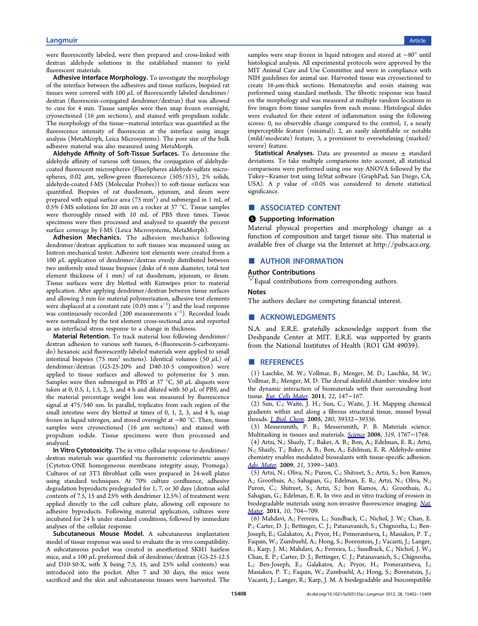<span id="page-6-0"></span>were fluorescently labeled, were then prepared and cross-linked with dextran aldehyde solutions in the established manner to yield fluorescent materials.

Adhesive Interface Morphology. To investigate the morphology of the interface between the adhesives and tissue surfaces, biopsied rat tissues were covered with 100  $\mu$ L of fluorescently labeled dendrimer/ dextran (fluorescein-conjugated dendrimer/dextran) that was allowed to cure for 4 min. Tissue samples were then snap frozen overnight, cryosectioned (16  $\mu$ m sections), and stained with propidium iodide. The morphology of the tissue−material interface was quantified as the fluorescence intensity of fluorescein at the interface using image analysis (MetaMorph, Leica Microsystems). The pore size of the bulk adhesive material was also measured using MetaMorph.

Aldehyde Affinity of Soft-Tissue Surfaces. To determine the aldehyde affinity of various soft tissues, the conjugation of aldehydecoated fluorescent microspheres (FluoSpheres aldehyde-sulfate microspheres, 0.02  $\mu$ m, yellow-green fluorescence (505/515), 2% solids, aldehyde-coated f-MS (Molecular Probes)) to soft-tissue surfaces was quantified. Biopsies of rat duodenum, jejunum, and ileum were prepared with equal surface area  $(75\;\mathrm{mm}^2)$  and submerged in 1 mL of 0.5% f-MS solutions for 20 min on a rocker at 37 °C. Tissue samples were thoroughly rinsed with 10 mL of PBS three times. Tissue specimens were then processed and analyzed to quantify the percent surface coverage by f-MS (Leica Microsystems, MetaMorph).

Adhesion Mechanics. The adhesion mechanics following dendrimer/dextran application to soft tissues was measured using an Instron mechanical tester. Adhesive test elements were created from a 100  $μ$ L application of dendrimer/dextran evenly distributed between two uniformly sized tissue biopsies (disks of 6 mm diameter, total test element thickness of 1 mm) of rat duodenum, jejunum, or ileum. Tissue surfaces were dry blotted with Kimwipes prior to material application. After applying dendrimer/dextran between tissue surfaces and allowing 5 min for material polymerization, adhesive test elements were displaced at a constant rate  $(0.05\;\mathrm{mm}\;\mathrm{s}^{-1})$  and the load response was continuously recorded (200 measurements s<sup>−</sup><sup>1</sup> ). Recorded loads were normalized by the test element cross-sectional area and reported as an interfacial stress response to a change in thickness.

Material Retention. To track material loss following dendrimer/ dextran adhesion to various soft tissues, 6-(fluorescein-5-carboxyamido) hexanoic acid fluorescently labeled materials were applied to small intestinal biopsies (75 mm<sup>2</sup> sections). Identical volumes (50  $\mu$ L) of dendrimer/dextran (G5-25-20% and D40-10-5 composition) were applied to tissue surfaces and allowed to polymerize for 5 min. Samples were then submerged in PBS at 37  $\degree$ C, 50  $\mu$ L aliquots were taken at 0, 0.5, 1, 1.5, 2, 3, and 4 h and diluted with 50  $\mu$ L of PBS, and the material percentage weight loss was measured by fluorescence signal at 475/540 nm. In parallel, triplicates from each region of the small intestine were dry blotted at times of 0, 1, 2, 3, and 4 h, snap frozen in liquid nitrogen, and stored overnight at −80 °C. Then, tissue samples were cryosectioned (16  $\mu$ m sections) and stained with propidium iodide. Tissue specimens were then processed and analyzed.

In Vitro Cytotoxicity. The in vitro cellular response to dendrimer/ dextran materials was quantified via fluorometric colorimetric assays (Cytotox-ONE homogeneous membrane integrity assay, Promega). Cultures of rat 3T3 fibroblast cells were prepared in 24-well plates using standard techniques. At 70% culture confluence, adhesive degradation byproducts predegraded for 1, 7, or 30 days (dextran solid contents of 7.5, 15 and 25% with dendrimer 12.5%) of treatment were applied directly to the cell culture plate, allowing cell exposure to adhesive byproducts. Following material application, cultures were incubated for 24 h under standard conditions, followed by immediate analyses of the cellular response.

Subcutaneous Mouse Model. A subcutaneous implantation model of tissue response was used to evaluate the in vivo compatibility. A subcutaneous pocket was created in anesthetized SKH1 hairless mice, and a 100 μL preformed disk of dendrimer/dextran (G5-25-12.5 and D10-50-X, with X being 7.5, 15, and 25% solid contents) was introduced into the pocket. After 7 and 30 days, the mice were sacrificed and the skin and subcutaneous tissues were harvested. The

samples were snap frozen in liquid nitrogen and stored at −80° until histological analysis. All experimental protocols were approved by the MIT Animal Care and Use Committee and were in compliance with NIH guidelines for animal use. Harvested tissue was cryosectioned to create  $16-\mu$ m-thick sections. Hematoxylin and eosin staining was performed using standard methods. The fibrotic response was based on the morphology and was measured at multiple random locations in five images from tissue samples from each mouse. Histological slides were evaluated for their extent of inflammation using the following scores: 0, no observable change compared to the control; 1, a nearly imperceptible feature (minimal); 2, an easily identifiable or notable (mild/moderate) feature; 3, a prominent to overwhelming (marked/ severe) feature.

**Statistical Analyses.** Data are presented as means  $\pm$  standard deviations. To take multiple comparisons into account, all statistical comparisons were performed using one way ANOVA followed by the Tukey−Kramer test using InStat software (GraphPad, San Diego, CA, USA). A  $p$  value of <0.05 was considered to denote statistical significance.

#### ■ ASSOCIATED CONTENT

#### **6** Supporting Information

Material physical properties and morphology change as a function of composition and target tissue site. This material is available free of charge via the Internet at [http://pubs.acs.org.](http://pubs.acs.org)

# **AUTHOR INFORMATION**

#### Author Contributions

Equal contributions from corresponding authors.

#### Notes

The authors declare no competing financial interest.

#### ■ ACKNOWLEDGMENTS

N.A. and E.R.E. gratefully acknowledge support from the Deshpande Center at MIT. E.R.E. was supported by grants from the National Institutes of Health (RO1 GM 49039).

#### ■ REFERENCES

(1) Laschke, M. W.; Vollmar, B.; Menger, M. D.; Laschke, M. W.; Vollmar, B.; Menger, M. D. The dorsal skinfold chamber: window into the dynamic interaction of biomaterials with their surrounding host tissue. Eur. Cells Mater. 2011, 22, 147−167.

(2) Sun, C.; Waite, J. H.; Sun, C.; Waite, J. H. Mapping chemical gradients within and along a fibrous structural tissue, mussel byssal threads. J. Biol. Chem. 2005, 280, 39332−39336.

(3) Messersmith, P. B.; Messersmith, P. B. Materials science. Multitasking in tissues and materials. Science 2008, 319, 1767−1768.

(4) Artzi, N.; Shazly, T.; Baker, A. B.; Bon, A.; Edelman, E. R.; Artzi, N.; Shazly, T.; Baker, A. B.; Bon, A.; Edelman, E. R. Aldehyde-amine chemistry enables modulated biosealants with tissue-specific adhesion. Adv. Mater. 2009, 21, 3399−3403.

(5) Artzi, N.; Oliva, N.; Puron, C.; Shitreet, S.; Artzi, S.; bon Ramos, A.; Groothuis, A.; Sahagian, G.; Edelman, E. R.; Artzi, N.; Oliva, N.; Puron, C.; Shitreet, S.; Artzi, S.; bon Ramos, A.; Groothuis, A.; Sahagian, G.; Edelman, E. R. In vivo and in vitro tracking of erosion in biodegradable materials using non-invasive fluorescence imaging. Nat. Mater. 2011, 10, 704−709.

(6) Mahdavi, A.; Ferreira, L.; Sundback, C.; Nichol, J. W.; Chan, E. P.; Carter, D. J.; Bettinger, C. J.; Patanavanich, S.; Chignozha, L.; Ben-Joseph, E.; Galakatos, A.; Pryor, H.; Pomerantseva, I.; Masiakos, P. T.; Faquin, W.; Zumbuehl, A.; Hong, S.; Borenstein, J.; Vacanti, J.; Langer, R.; Karp, J. M.; Mahdavi, A.; Ferreira, L.; Sundback, C.; Nichol, J. W.; Chan, E. P.; Carter, D. J.; Bettinger, C. J.; Patanavanich, S.; Chignozha, L.; Ben-Joseph, E.; Galakatos, A.; Pryor, H.; Pomerantseva, I.; Masiakos, P. T.; Faquin, W.; Zumbuehl, A.; Hong, S.; Borenstein, J.; Vacanti, J.; Langer, R.; Karp, J. M. A biodegradable and biocompatible